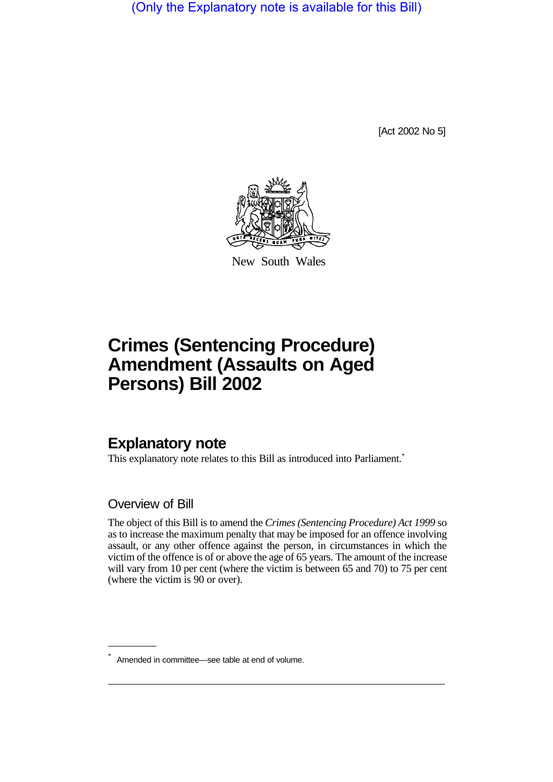(Only the Explanatory note is available for this Bill)

[Act 2002 No 5]



New South Wales

## **Crimes (Sentencing Procedure) Amendment (Assaults on Aged Persons) Bill 2002**

## **Explanatory note**

This explanatory note relates to this Bill as introduced into Parliament.<sup>\*</sup>

Overview of Bill

The object of this Bill is to amend the *Crimes (Sentencing Procedure) Act 1999* so as to increase the maximum penalty that may be imposed for an offence involving assault, or any other offence against the person, in circumstances in which the victim of the offence is of or above the age of 65 years. The amount of the increase will vary from 10 per cent (where the victim is between 65 and 70) to 75 per cent (where the victim is 90 or over).

Amended in committee—see table at end of volume.